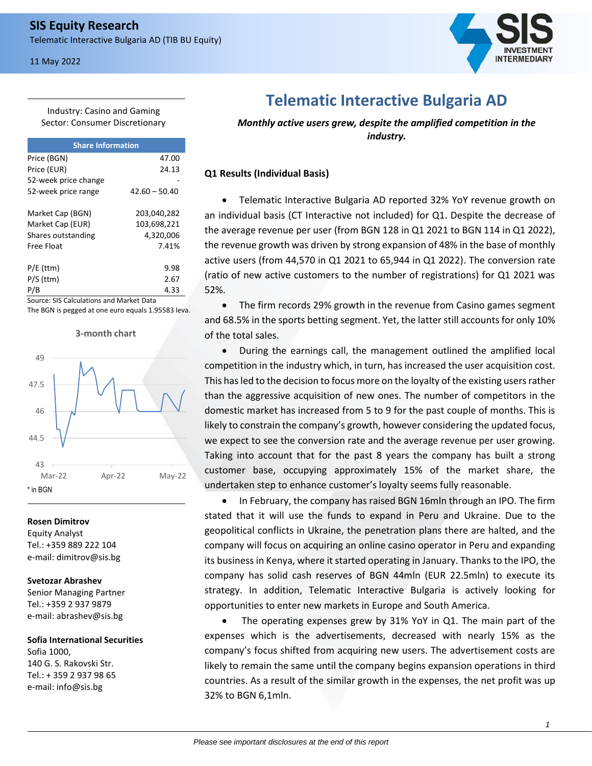## 11 May 2022



Industry: Casino and Gaming Sector: Consumer Discretionary

| <b>Share Information</b> |                 |  |  |  |  |
|--------------------------|-----------------|--|--|--|--|
| Price (BGN)              | 47.00           |  |  |  |  |
| Price (EUR)              | 24.13           |  |  |  |  |
| 52-week price change     |                 |  |  |  |  |
| 52-week price range      | $42.60 - 50.40$ |  |  |  |  |
| Market Cap (BGN)         | 203,040,282     |  |  |  |  |
| Market Cap (EUR)         | 103,698,221     |  |  |  |  |
| Shares outstanding       | 4,320,006       |  |  |  |  |
| Free Float               | 7.41%           |  |  |  |  |
| $P/E$ (ttm)              | 9.98            |  |  |  |  |
| $P/S$ (ttm)              | 2.67            |  |  |  |  |
|                          | 4.33            |  |  |  |  |

Source: SIS Calculations and Market Data The BGN is pegged at one euro equals 1.95583 leva.



#### **Rosen Dimitrov**

Equity Analyst Tel.: +359 889 222 104 e-mail: dimitrov@sis.bg

### **Svetozar Abrashev**

Senior Managing Partner Tel.: +359 2 937 9879 e-mail: abrashev@sis.bg

## **Sofia International Securities** Sofia 1000, 140 G. S. Rakovski Str. Tel.: + 359 2 937 98 65 e-mail: info@sis.bg

**Telematic Interactive Bulgaria AD**

*Monthly active users grew, despite the amplified competition in the industry.*

## **Q1 Results (Individual Basis)**

• Telematic Interactive Bulgaria AD reported 32% YoY revenue growth on an individual basis (CT Interactive not included) for Q1. Despite the decrease of the average revenue per user (from BGN 128 in Q1 2021 to BGN 114 in Q1 2022), the revenue growth was driven by strong expansion of 48% in the base of monthly active users (from 44,570 in Q1 2021 to 65,944 in Q1 2022). The conversion rate (ratio of new active customers to the number of registrations) for Q1 2021 was 52%.

• The firm records 29% growth in the revenue from Casino games segment and 68.5% in the sports betting segment. Yet, the latter still accounts for only 10% of the total sales.

• During the earnings call, the management outlined the amplified local competition in the industry which, in turn, has increased the user acquisition cost. This has led to the decision to focus more on the loyalty of the existing users rather than the aggressive acquisition of new ones. The number of competitors in the domestic market has increased from 5 to 9 for the past couple of months. This is likely to constrain the company's growth, however considering the updated focus, we expect to see the conversion rate and the average revenue per user growing. Taking into account that for the past 8 years the company has built a strong customer base, occupying approximately 15% of the market share, the undertaken step to enhance customer's loyalty seems fully reasonable.

• In February, the company has raised BGN 16mln through an IPO. The firm stated that it will use the funds to expand in Peru and Ukraine. Due to the geopolitical conflicts in Ukraine, the penetration plans there are halted, and the company will focus on acquiring an online casino operator in Peru and expanding its business in Kenya, where it started operating in January. Thanks to the IPO, the company has solid cash reserves of BGN 44mln (EUR 22.5mln) to execute its strategy. In addition, Telematic Interactive Bulgaria is actively looking for opportunities to enter new markets in Europe and South America.

The operating expenses grew by 31% YoY in Q1. The main part of the expenses which is the advertisements, decreased with nearly 15% as the company's focus shifted from acquiring new users. The advertisement costs are likely to remain the same until the company begins expansion operations in third countries. As a result of the similar growth in the expenses, the net profit was up 32% to BGN 6,1mln.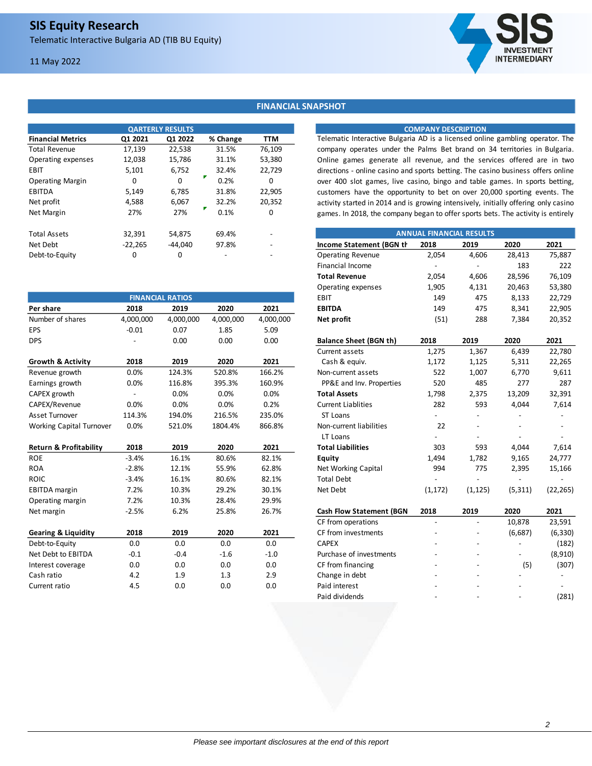# 11 May 2022



### **FINANCIAL SNAPSHOT**

|                          |           | <b>OARTERLY RESULTS</b> |          |                          |                                                                                     | <b>COMPANY DESCRIPTION</b> |                                 |        |        |
|--------------------------|-----------|-------------------------|----------|--------------------------|-------------------------------------------------------------------------------------|----------------------------|---------------------------------|--------|--------|
| <b>Financial Metrics</b> | Q1 2021   | Q1 2022                 | % Change | TTM                      | Telematic Interactive Bulgaria AD is a licensed online gambling operator. The       |                            |                                 |        |        |
| <b>Total Revenue</b>     | 17,139    | 22,538                  | 31.5%    | 76,109                   | company operates under the Palms Bet brand on 34 territories in Bulgaria.           |                            |                                 |        |        |
| Operating expenses       | 12,038    | 15,786                  | 31.1%    | 53,380                   | Online games generate all revenue, and the services offered are in two              |                            |                                 |        |        |
| EBIT                     | 5,101     | 6,752                   | 32.4%    | 22.729                   | directions - online casino and sports betting. The casino business offers online    |                            |                                 |        |        |
| <b>Operating Margin</b>  | 0         |                         | 0.2%     | 0                        | over 400 slot games, live casino, bingo and table games. In sports betting          |                            |                                 |        |        |
| EBITDA                   | 5,149     | 6,785                   | 31.8%    | 22,905                   | customers have the opportunity to bet on over 20,000 sporting events. The           |                            |                                 |        |        |
| Net profit               | 4.588     | 6,067                   | 32.2%    | 20,352                   | activity started in 2014 and is growing intensively, initially offering only casing |                            |                                 |        |        |
| Net Margin               | 27%       | 27%                     | 0.1%     | 0                        | games. In 2018, the company began to offer sports bets. The activity is entirely    |                            |                                 |        |        |
| <b>Total Assets</b>      | 32.391    | 54,875                  | 69.4%    | $\overline{\phantom{a}}$ |                                                                                     |                            | <b>ANNUAL FINANCIAL RESULTS</b> |        |        |
| Net Debt                 | $-22,265$ | -44,040                 | 97.8%    | $\overline{\phantom{a}}$ | Income Statement (BGN th                                                            | 2018                       | 2019                            | 2020   | 2021   |
| Debt-to-Equity           | 0         | 0                       |          |                          | <b>Operating Revenue</b>                                                            | 2.054                      | 4,606                           | 28.413 | 75.887 |

|                                   |           |                         |           |           | operating experises             | رت ر⊾    | ¬,⊥                      | ∠∪,¬∪    | JJ,JUU    |
|-----------------------------------|-----------|-------------------------|-----------|-----------|---------------------------------|----------|--------------------------|----------|-----------|
|                                   |           | <b>FINANCIAL RATIOS</b> |           |           | EBIT                            | 149      | 475                      | 8,133    | 22,729    |
| Per share                         | 2018      | 2019                    | 2020      | 2021      | <b>EBITDA</b>                   | 149      | 475                      | 8,341    | 22,905    |
| Number of shares                  | 4,000,000 | 4,000,000               | 4,000,000 | 4,000,000 | Net profit                      | (51)     | 288                      | 7,384    | 20,352    |
| <b>EPS</b>                        | $-0.01$   | 0.07                    | 1.85      | 5.09      |                                 |          |                          |          |           |
| <b>DPS</b>                        |           | 0.00                    | 0.00      | 0.00      | <b>Balance Sheet (BGN th)</b>   | 2018     | 2019                     | 2020     | 2021      |
|                                   |           |                         |           |           | Current assets                  | 1,275    | 1,367                    | 6,439    | 22,780    |
| <b>Growth &amp; Activity</b>      | 2018      | 2019                    | 2020      | 2021      | Cash & equiv.                   | 1,172    | 1,125                    | 5,311    | 22,265    |
| Revenue growth                    | 0.0%      | 124.3%                  | 520.8%    | 166.2%    | Non-current assets              | 522      | 1,007                    | 6,770    | 9,611     |
| Earnings growth                   | 0.0%      | 116.8%                  | 395.3%    | 160.9%    | PP&E and Inv. Properties        | 520      | 485                      | 277      | 287       |
| CAPEX growth                      |           | 0.0%                    | 0.0%      | 0.0%      | <b>Total Assets</b>             | 1,798    | 2,375                    | 13,209   | 32,391    |
| CAPEX/Revenue                     | 0.0%      | 0.0%                    | 0.0%      | 0.2%      | <b>Current Liablities</b>       | 282      | 593                      | 4,044    | 7,614     |
| Asset Turnover                    | 114.3%    | 194.0%                  | 216.5%    | 235.0%    | ST Loans                        |          |                          |          |           |
| <b>Working Capital Turnover</b>   | 0.0%      | 521.0%                  | 1804.4%   | 866.8%    | Non-current liabilities         | 22       |                          |          |           |
|                                   |           |                         |           |           | LT Loans                        |          |                          |          |           |
| <b>Return &amp; Profitability</b> | 2018      | 2019                    | 2020      | 2021      | <b>Total Liabilities</b>        | 303      | 593                      | 4,044    | 7,614     |
| <b>ROE</b>                        | $-3.4%$   | 16.1%                   | 80.6%     | 82.1%     | Equity                          | 1,494    | 1,782                    | 9,165    | 24,777    |
| <b>ROA</b>                        | $-2.8%$   | 12.1%                   | 55.9%     | 62.8%     | Net Working Capital             | 994      | 775                      | 2,395    | 15,166    |
| <b>ROIC</b>                       | $-3.4%$   | 16.1%                   | 80.6%     | 82.1%     | <b>Total Debt</b>               |          |                          |          |           |
| <b>EBITDA</b> margin              | 7.2%      | 10.3%                   | 29.2%     | 30.1%     | Net Debt                        | (1, 172) | (1, 125)                 | (5, 311) | (22, 265) |
| Operating margin                  | 7.2%      | 10.3%                   | 28.4%     | 29.9%     |                                 |          |                          |          |           |
| Net margin                        | $-2.5%$   | 6.2%                    | 25.8%     | 26.7%     | <b>Cash Flow Statement (BGN</b> | 2018     | 2019                     | 2020     | 2021      |
|                                   |           |                         |           |           | CF from operations              |          |                          | 10,878   | 23,591    |
| <b>Gearing &amp; Liquidity</b>    | 2018      | 2019                    | 2020      | 2021      | CF from investments             |          |                          | (6,687)  | (6, 330)  |
| Debt-to-Equity                    | 0.0       | 0.0                     | 0.0       | 0.0       | <b>CAPEX</b>                    |          | $\overline{\phantom{a}}$ |          | (182)     |
| Net Debt to EBITDA                | $-0.1$    | $-0.4$                  | $-1.6$    | $-1.0$    | Purchase of investments         |          |                          |          | (8,910)   |
| Interest coverage                 | 0.0       | 0.0                     | 0.0       | 0.0       | CF from financing               |          |                          | (5)      | (307)     |
| Cash ratio                        | 4.2       | 1.9                     | 1.3       | 2.9       | Change in debt                  |          |                          |          |           |
| Current ratio                     | 4.5       | 0.0                     | 0.0       | 0.0       | Paid interest                   |          |                          |          |           |
|                                   |           |                         |           |           |                                 |          |                          |          |           |

### **COMPANY DESCRIPTION**

| <b>ANNUAL FINANCIAL RESULTS</b> |          |          |          |           |  |  |
|---------------------------------|----------|----------|----------|-----------|--|--|
| Income Statement (BGN th        | 2018     | 2019     | 2020     | 2021      |  |  |
| <b>Operating Revenue</b>        | 2,054    | 4,606    | 28,413   | 75,887    |  |  |
| <b>Financial Income</b>         |          |          | 183      | 222       |  |  |
| <b>Total Revenue</b>            | 2,054    | 4,606    | 28,596   | 76,109    |  |  |
| Operating expenses              | 1,905    | 4,131    | 20,463   | 53,380    |  |  |
| <b>EBIT</b>                     | 149      | 475      | 8,133    | 22,729    |  |  |
| <b>EBITDA</b>                   | 149      | 475      | 8,341    | 22,905    |  |  |
| Net profit                      | (51)     | 288      | 7,384    | 20,352    |  |  |
| <b>Balance Sheet (BGN th)</b>   | 2018     | 2019     | 2020     | 2021      |  |  |
| Current assets                  | 1,275    | 1,367    | 6,439    | 22,780    |  |  |
| Cash & equiv.                   | 1,172    | 1,125    | 5,311    | 22,265    |  |  |
| Non-current assets              | 522      | 1,007    | 6,770    | 9,611     |  |  |
| PP&E and Inv. Properties        | 520      | 485      | 277      | 287       |  |  |
| <b>Total Assets</b>             | 1,798    | 2,375    | 13,209   | 32,391    |  |  |
| <b>Current Liablities</b>       | 282      | 593      | 4,044    | 7,614     |  |  |
| ST Loans                        |          |          |          |           |  |  |
| Non-current liabilities         | 22       |          |          |           |  |  |
| LT Loans                        |          |          |          |           |  |  |
| <b>Total Liabilities</b>        | 303      | 593      | 4,044    | 7,614     |  |  |
| <b>Equity</b>                   | 1,494    | 1,782    | 9,165    | 24,777    |  |  |
| Net Working Capital             | 994      | 775      | 2,395    | 15,166    |  |  |
| <b>Total Debt</b>               |          |          |          |           |  |  |
| Net Debt                        | (1, 172) | (1, 125) | (5, 311) | (22, 265) |  |  |
| <b>Cash Flow Statement (BGN</b> | 2018     | 2019     | 2020     | 2021      |  |  |
| CF from operations              |          |          | 10,878   | 23,591    |  |  |
| CF from investments             |          |          | (6,687)  | (6, 330)  |  |  |
| <b>CAPEX</b>                    |          |          |          | (182)     |  |  |

| <b>CAPEX</b>            |   |   |     | (182)   |
|-------------------------|---|---|-----|---------|
| Purchase of investments |   |   |     | (8,910) |
| CF from financing       |   |   | (5) | (307)   |
| Change in debt          | - | - |     |         |
| Paid interest           | - | - | -   |         |
| Paid dividends          | - | - |     | (281)   |
|                         |   |   |     |         |